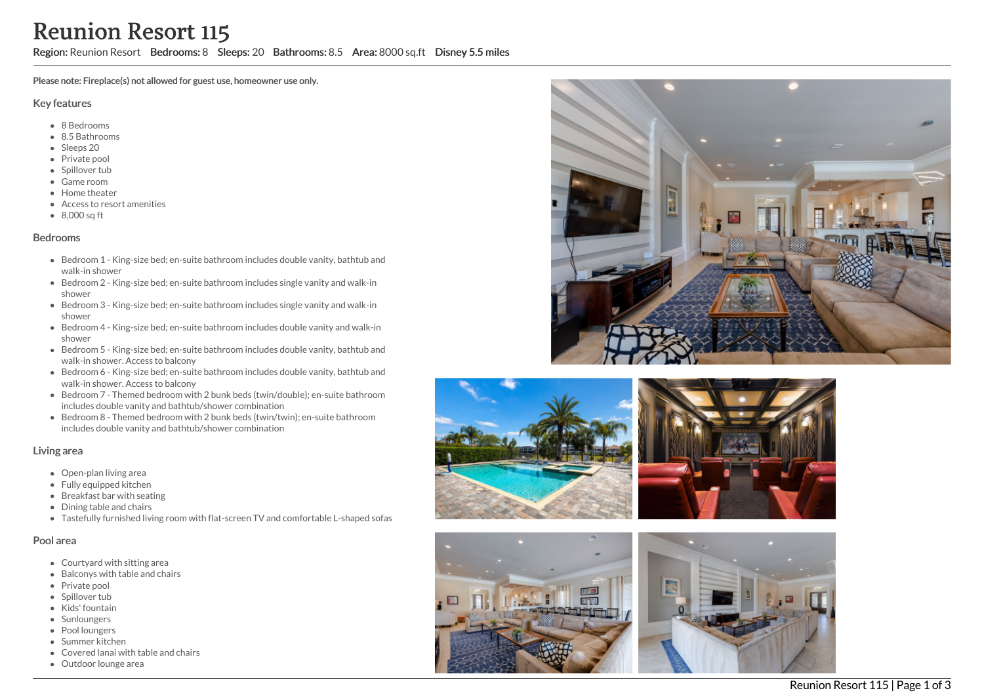# Reunion Resort 115

Region: Reunion Resort Bedrooms: 8 Sleeps: 20 Bathrooms: 8.5 Area: 8000 sq.ft Disney 5.5 miles

Please note: Fireplace(s) not allowed for guest use, homeowner use only.

#### Key features

- 8 Bedrooms
- 8.5 Bathrooms
- Sleeps 20
- Private pool
- Spillover tub
- Game room
- Home theater
- Access to resort amenities
- 8,000 sq ft

#### Bedrooms

- Bedroom 1 King-size bed; en-suite bathroom includes double vanity, bathtub and walk-in shower
- Bedroom 2 King-size bed; en-suite bathroom includes single vanity and walk-in shower
- Bedroom 3 King-size bed; en-suite bathroom includes single vanity and walk-in shower
- Bedroom 4 King-size bed; en-suite bathroom includes double vanity and walk-in shower
- Bedroom 5 King-size bed; en-suite bathroom includes double vanity, bathtub and walk-in shower. Access to balcony
- Bedroom 6 King-size bed; en-suite bathroom includes double vanity, bathtub and walk-in shower. Access to balcony
- Bedroom 7 Themed bedroom with 2 bunk beds (twin/double); en-suite bathroom includes double vanity and bathtub/shower combination
- Bedroom 8 Themed bedroom with 2 bunk beds (twin/twin); en-suite bathroom includes double vanity and bathtub/shower combination

### Living area

- Open-plan living area
- Fully equipped kitchen
- Breakfast bar with seating
- Dining table and chairs
- Tastefully furnished living room with flat-screen TV and comfortable L-shaped sofas

#### Pool area

- Courtyard with sitting area
- Balconys with table and chairs
- Private pool
- Spillover tub
- Kids' fountain
- Sunloungers
- Pool loungers
- Summer kitchen
- Covered lanai with table and chairs
- Outdoor lounge area







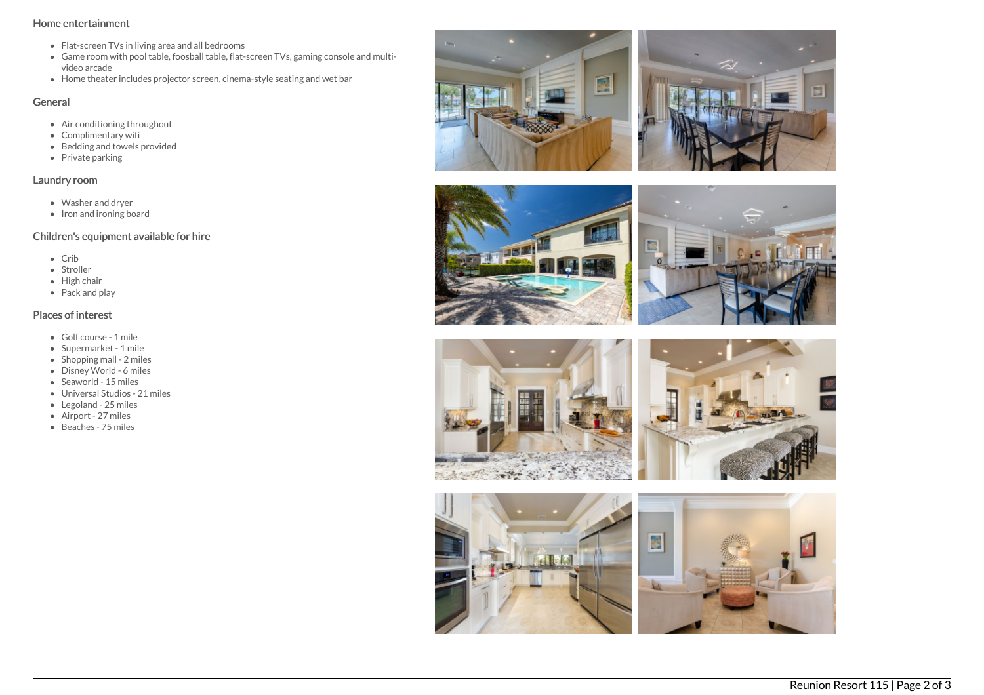## Home entertainment

- Flat-screen TVs in living area and all bedrooms
- Game room with pool table, foosball table, flat-screen TVs, gaming console and multivideo arcade
- Home theater includes projector screen, cinema-style seating and wet bar

## General

- Air conditioning throughout
- Complimentary wifi
- Bedding and towels provided
- $\bullet$  Private parking

## Laundry room

- Washer and dryer
- Iron and ironing board

# Children's equipment available for hire

- $\bullet$  Crib
- Stroller
- $\bullet$  High chair
- Pack and play

# Places of interest

- Golf course 1 mile
- Supermarket 1 mile
- $\bullet$  Shopping mall 2 miles
- Disney World 6 miles
- Seaworld 15 miles
- Universal Studios 21 miles
- Legoland 25 miles
- Airport 27 miles
- Beaches 75 miles